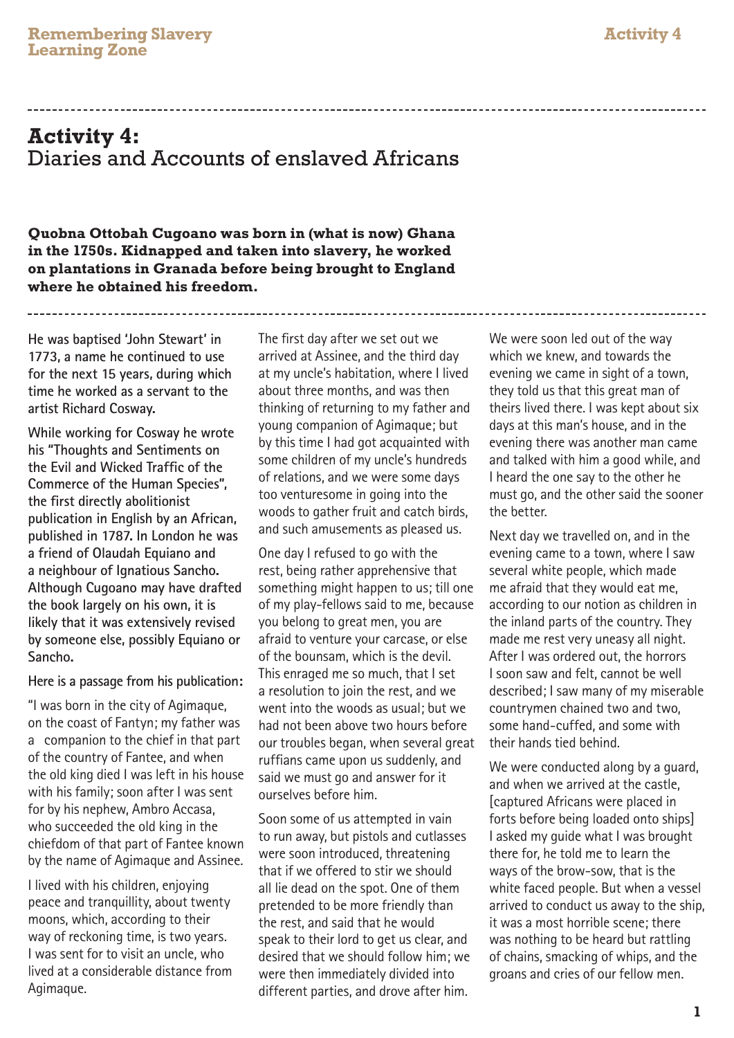# **Activity 4:** Diaries and Accounts of enslaved Africans

**Quobna Ottobah Cugoano was born in (what is now) Ghana in the 1750s. Kidnapped and taken into slavery, he worked on plantations in Granada before being brought to England where he obtained his freedom.** 

**He was baptised 'John Stewart' in 1773, a name he continued to use for the next 15 years, during which time he worked as a servant to the artist Richard Cosway.** 

**While working for Cosway he wrote his "Thoughts and Sentiments on the Evil and Wicked Traffic of the Commerce of the Human Species", the first directly abolitionist publication in English by an African, published in 1787. In London he was a friend of Olaudah Equiano and a neighbour of Ignatious Sancho. Although Cugoano may have drafted the book largely on his own, it is likely that it was extensively revised by someone else, possibly Equiano or Sancho.**

**Here is a passage from his publication:**

"I was born in the city of Agimaque, on the coast of Fantyn; my father was a companion to the chief in that part of the country of Fantee, and when the old king died I was left in his house with his family; soon after I was sent for by his nephew, Ambro Accasa, who succeeded the old king in the chiefdom of that part of Fantee known by the name of Agimaque and Assinee.

I lived with his children, enjoying peace and tranquillity, about twenty moons, which, according to their way of reckoning time, is two years. I was sent for to visit an uncle, who lived at a considerable distance from Agimaque.

The first day after we set out we arrived at Assinee, and the third day at my uncle's habitation, where I lived about three months, and was then thinking of returning to my father and young companion of Agimaque; but by this time I had got acquainted with some children of my uncle's hundreds of relations, and we were some days too venturesome in going into the woods to gather fruit and catch birds, and such amusements as pleased us.

One day I refused to go with the rest, being rather apprehensive that something might happen to us; till one of my play-fellows said to me, because you belong to great men, you are afraid to venture your carcase, or else of the bounsam, which is the devil. This enraged me so much, that I set a resolution to join the rest, and we went into the woods as usual; but we had not been above two hours before our troubles began, when several great ruffians came upon us suddenly, and said we must go and answer for it ourselves before him.

Soon some of us attempted in vain to run away, but pistols and cutlasses were soon introduced, threatening that if we offered to stir we should all lie dead on the spot. One of them pretended to be more friendly than the rest, and said that he would speak to their lord to get us clear, and desired that we should follow him; we were then immediately divided into different parties, and drove after him.

We were soon led out of the way which we knew, and towards the evening we came in sight of a town, they told us that this great man of theirs lived there. I was kept about six days at this man's house, and in the evening there was another man came and talked with him a good while, and I heard the one say to the other he must go, and the other said the sooner the better.

Next day we travelled on, and in the evening came to a town, where I saw several white people, which made me afraid that they would eat me, according to our notion as children in the inland parts of the country. They made me rest very uneasy all night. After I was ordered out, the horrors I soon saw and felt, cannot be well described; I saw many of my miserable countrymen chained two and two, some hand-cuffed, and some with their hands tied behind.

We were conducted along by a guard, and when we arrived at the castle, [captured Africans were placed in forts before being loaded onto ships] I asked my guide what I was brought there for, he told me to learn the ways of the brow-sow, that is the white faced people. But when a vessel arrived to conduct us away to the ship, it was a most horrible scene; there was nothing to be heard but rattling of chains, smacking of whips, and the groans and cries of our fellow men.